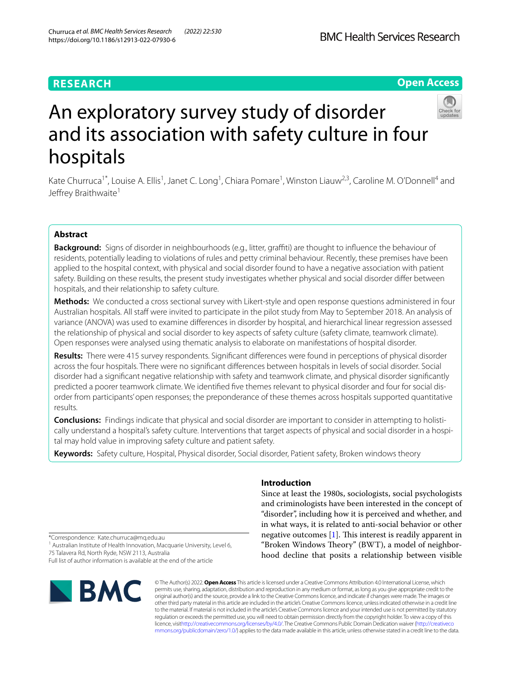# **RESEARCH**

# **Open Access**



# An exploratory survey study of disorder and its association with safety culture in four hospitals

Kate Churruca<sup>1\*</sup>, Louise A. Ellis<sup>1</sup>, Janet C. Long<sup>1</sup>, Chiara Pomare<sup>1</sup>, Winston Liauw<sup>2,3</sup>, Caroline M. O'Donnell<sup>4</sup> and Jeffrey Braithwaite<sup>1</sup>

# **Abstract**

**Background:** Signs of disorder in neighbourhoods (e.g., litter, graffiti) are thought to influence the behaviour of residents, potentially leading to violations of rules and petty criminal behaviour. Recently, these premises have been applied to the hospital context, with physical and social disorder found to have a negative association with patient safety. Building on these results, the present study investigates whether physical and social disorder difer between hospitals, and their relationship to safety culture.

**Methods:** We conducted a cross sectional survey with Likert-style and open response questions administered in four Australian hospitals. All staff were invited to participate in the pilot study from May to September 2018. An analysis of variance (ANOVA) was used to examine diferences in disorder by hospital, and hierarchical linear regression assessed the relationship of physical and social disorder to key aspects of safety culture (safety climate, teamwork climate). Open responses were analysed using thematic analysis to elaborate on manifestations of hospital disorder.

**Results:** There were 415 survey respondents. Signifcant diferences were found in perceptions of physical disorder across the four hospitals. There were no signifcant diferences between hospitals in levels of social disorder. Social disorder had a signifcant negative relationship with safety and teamwork climate, and physical disorder signifcantly predicted a poorer teamwork climate. We identifed fve themes relevant to physical disorder and four for social disorder from participants' open responses; the preponderance of these themes across hospitals supported quantitative results.

**Conclusions:** Findings indicate that physical and social disorder are important to consider in attempting to holistically understand a hospital's safety culture. Interventions that target aspects of physical and social disorder in a hospital may hold value in improving safety culture and patient safety.

**Keywords:** Safety culture, Hospital, Physical disorder, Social disorder, Patient safety, Broken windows theory

# **Introduction**

Since at least the 1980s, sociologists, social psychologists and criminologists have been interested in the concept of "disorder", including how it is perceived and whether, and in what ways, it is related to anti-social behavior or other negative outcomes  $[1]$  $[1]$ . This interest is readily apparent in "Broken Windows Theory" (BWT), a model of neighborhood decline that posits a relationship between visible

\*Correspondence: Kate.churruca@mq.edu.au

<sup>1</sup> Australian Institute of Health Innovation, Macquarie University, Level 6, 75 Talavera Rd, North Ryde, NSW 2113, Australia

Full list of author information is available at the end of the article



© The Author(s) 2022. **Open Access** This article is licensed under a Creative Commons Attribution 4.0 International License, which permits use, sharing, adaptation, distribution and reproduction in any medium or format, as long as you give appropriate credit to the original author(s) and the source, provide a link to the Creative Commons licence, and indicate if changes were made. The images or other third party material in this article are included in the article's Creative Commons licence, unless indicated otherwise in a credit line to the material. If material is not included in the article's Creative Commons licence and your intended use is not permitted by statutory regulation or exceeds the permitted use, you will need to obtain permission directly from the copyright holder. To view a copy of this licence, visi[thttp://creativecommons.org/licenses/by/4.0/](http://creativecommons.org/licenses/by/4.0/). The Creative Commons Public Domain Dedication waiver [\(http://creativeco](http://creativecommons.org/publicdomain/zero/1.0/) [mmons.org/publicdomain/zero/1.0/](http://creativecommons.org/publicdomain/zero/1.0/)) applies to the data made available in this article, unless otherwise stated in a credit line to the data.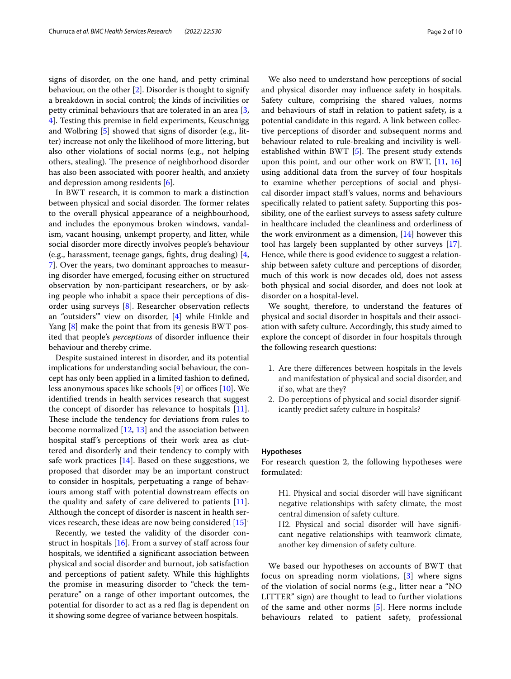signs of disorder, on the one hand, and petty criminal behaviour, on the other [[2\]](#page-8-1). Disorder is thought to signify a breakdown in social control; the kinds of incivilities or petty criminal behaviours that are tolerated in an area [\[3](#page-8-2), [4\]](#page-8-3). Testing this premise in feld experiments, Keuschnigg and Wolbring [[5\]](#page-8-4) showed that signs of disorder (e.g., litter) increase not only the likelihood of more littering, but also other violations of social norms (e.g., not helping others, stealing). The presence of neighborhood disorder has also been associated with poorer health, and anxiety and depression among residents [\[6](#page-8-5)].

In BWT research, it is common to mark a distinction between physical and social disorder. The former relates to the overall physical appearance of a neighbourhood, and includes the eponymous broken windows, vandalism, vacant housing, unkempt property, and litter, while social disorder more directly involves people's behaviour (e.g., harassment, teenage gangs, fghts, drug dealing) [\[4](#page-8-3), [7\]](#page-8-6). Over the years, two dominant approaches to measuring disorder have emerged, focusing either on structured observation by non-participant researchers, or by asking people who inhabit a space their perceptions of disorder using surveys [[8\]](#page-8-7). Researcher observation refects an "outsiders'" view on disorder, [[4\]](#page-8-3) while Hinkle and Yang [[8\]](#page-8-7) make the point that from its genesis BWT posited that people's *perceptions* of disorder infuence their behaviour and thereby crime.

Despite sustained interest in disorder, and its potential implications for understanding social behaviour, the concept has only been applied in a limited fashion to defned, less anonymous spaces like schools  $[9]$  $[9]$  or offices  $[10]$ . We identifed trends in health services research that suggest the concept of disorder has relevance to hospitals  $[11]$  $[11]$ . These include the tendency for deviations from rules to become normalized  $[12, 13]$  $[12, 13]$  $[12, 13]$  $[12, 13]$  $[12, 13]$  and the association between hospital staf's perceptions of their work area as cluttered and disorderly and their tendency to comply with safe work practices  $[14]$  $[14]$ . Based on these suggestions, we proposed that disorder may be an important construct to consider in hospitals, perpetuating a range of behaviours among staff with potential downstream effects on the quality and safety of care delivered to patients  $[11]$  $[11]$ . Although the concept of disorder is nascent in health services research, these ideas are now being considered [[15](#page-9-4)] .

Recently, we tested the validity of the disorder construct in hospitals  $[16]$ . From a survey of staff across four hospitals, we identifed a signifcant association between physical and social disorder and burnout, job satisfaction and perceptions of patient safety. While this highlights the promise in measuring disorder to "check the temperature" on a range of other important outcomes, the potential for disorder to act as a red fag is dependent on it showing some degree of variance between hospitals.

We also need to understand how perceptions of social and physical disorder may infuence safety in hospitals. Safety culture, comprising the shared values, norms and behaviours of staff in relation to patient safety, is a potential candidate in this regard. A link between collective perceptions of disorder and subsequent norms and behaviour related to rule-breaking and incivility is wellestablished within BWT  $[5]$  $[5]$ . The present study extends upon this point, and our other work on BWT, [[11](#page-9-0), [16](#page-9-5)] using additional data from the survey of four hospitals to examine whether perceptions of social and physical disorder impact staf's values, norms and behaviours specifcally related to patient safety. Supporting this possibility, one of the earliest surveys to assess safety culture in healthcare included the cleanliness and orderliness of the work environment as a dimension,  $[14]$  $[14]$  however this tool has largely been supplanted by other surveys [\[17](#page-9-6)]. Hence, while there is good evidence to suggest a relationship between safety culture and perceptions of disorder, much of this work is now decades old, does not assess both physical and social disorder, and does not look at disorder on a hospital-level.

We sought, therefore, to understand the features of physical and social disorder in hospitals and their association with safety culture. Accordingly, this study aimed to explore the concept of disorder in four hospitals through the following research questions:

- 1. Are there diferences between hospitals in the levels and manifestation of physical and social disorder, and if so, what are they?
- 2. Do perceptions of physical and social disorder significantly predict safety culture in hospitals?

#### **Hypotheses**

For research question 2, the following hypotheses were formulated:

H1. Physical and social disorder will have signifcant negative relationships with safety climate, the most central dimension of safety culture.

H2. Physical and social disorder will have signifcant negative relationships with teamwork climate, another key dimension of safety culture.

We based our hypotheses on accounts of BWT that focus on spreading norm violations, [[3\]](#page-8-2) where signs of the violation of social norms (e.g., litter near a "NO LITTER" sign) are thought to lead to further violations of the same and other norms [\[5](#page-8-4)]. Here norms include behaviours related to patient safety, professional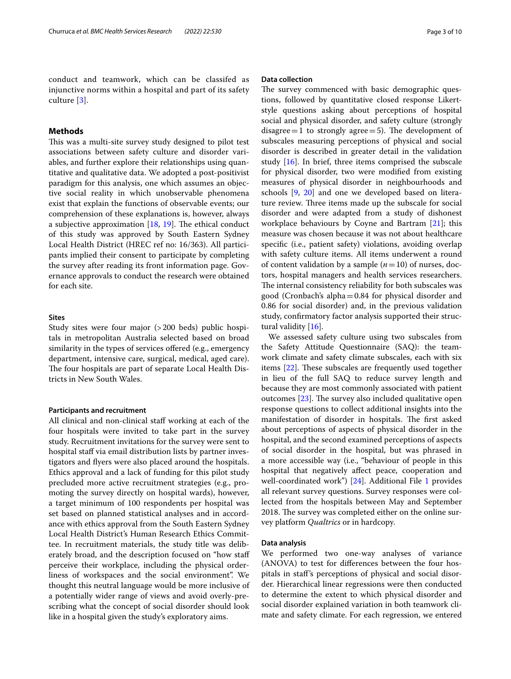conduct and teamwork, which can be classifed as injunctive norms within a hospital and part of its safety culture [\[3\]](#page-8-2).

# **Methods**

This was a multi-site survey study designed to pilot test associations between safety culture and disorder variables, and further explore their relationships using quantitative and qualitative data. We adopted a post-positivist paradigm for this analysis, one which assumes an objective social reality in which unobservable phenomena exist that explain the functions of observable events; our comprehension of these explanations is, however, always a subjective approximation  $[18, 19]$  $[18, 19]$  $[18, 19]$  $[18, 19]$ . The ethical conduct of this study was approved by South Eastern Sydney Local Health District (HREC ref no: 16/363). All participants implied their consent to participate by completing the survey after reading its front information page. Governance approvals to conduct the research were obtained for each site.

# **Sites**

Study sites were four major (>200 beds) public hospitals in metropolitan Australia selected based on broad similarity in the types of services offered (e.g., emergency department, intensive care, surgical, medical, aged care). The four hospitals are part of separate Local Health Districts in New South Wales.

#### **Participants and recruitment**

All clinical and non-clinical staf working at each of the four hospitals were invited to take part in the survey study. Recruitment invitations for the survey were sent to hospital staff via email distribution lists by partner investigators and fyers were also placed around the hospitals. Ethics approval and a lack of funding for this pilot study precluded more active recruitment strategies (e.g., promoting the survey directly on hospital wards), however, a target minimum of 100 respondents per hospital was set based on planned statistical analyses and in accordance with ethics approval from the South Eastern Sydney Local Health District's Human Research Ethics Committee. In recruitment materials, the study title was deliberately broad, and the description focused on "how staf perceive their workplace, including the physical orderliness of workspaces and the social environment". We thought this neutral language would be more inclusive of a potentially wider range of views and avoid overly-prescribing what the concept of social disorder should look like in a hospital given the study's exploratory aims.

### **Data collection**

The survey commenced with basic demographic questions, followed by quantitative closed response Likertstyle questions asking about perceptions of hospital social and physical disorder, and safety culture (strongly disagree  $=1$  to strongly agree  $=5$ ). The development of subscales measuring perceptions of physical and social disorder is described in greater detail in the validation study  $[16]$  $[16]$ . In brief, three items comprised the subscale for physical disorder, two were modifed from existing measures of physical disorder in neighbourhoods and schools [[9,](#page-8-8) [20\]](#page-9-9) and one we developed based on literature review. Three items made up the subscale for social disorder and were adapted from a study of dishonest workplace behaviours by Coyne and Bartram [\[21](#page-9-10)]; this measure was chosen because it was not about healthcare specifc (i.e., patient safety) violations, avoiding overlap with safety culture items. All items underwent a round of content validation by a sample  $(n=10)$  of nurses, doctors, hospital managers and health services researchers. The internal consistency reliability for both subscales was good (Cronbach's alpha=0.84 for physical disorder and 0.86 for social disorder) and, in the previous validation study, confrmatory factor analysis supported their structural validity [[16\]](#page-9-5).

We assessed safety culture using two subscales from the Safety Attitude Questionnaire (SAQ): the teamwork climate and safety climate subscales, each with six items  $[22]$  $[22]$  $[22]$ . These subscales are frequently used together in lieu of the full SAQ to reduce survey length and because they are most commonly associated with patient outcomes  $[23]$  $[23]$ . The survey also included qualitative open response questions to collect additional insights into the manifestation of disorder in hospitals. The first asked about perceptions of aspects of physical disorder in the hospital, and the second examined perceptions of aspects of social disorder in the hospital, but was phrased in a more accessible way (i.e., "behaviour of people in this hospital that negatively afect peace, cooperation and well-coordinated work") [[24](#page-9-13)]. Additional File [1](#page-8-10) provides all relevant survey questions. Survey responses were collected from the hospitals between May and September 2018. The survey was completed either on the online survey platform *Qualtrics* or in hardcopy.

### **Data analysis**

We performed two one-way analyses of variance (ANOVA) to test for diferences between the four hospitals in staf's perceptions of physical and social disorder. Hierarchical linear regressions were then conducted to determine the extent to which physical disorder and social disorder explained variation in both teamwork climate and safety climate. For each regression, we entered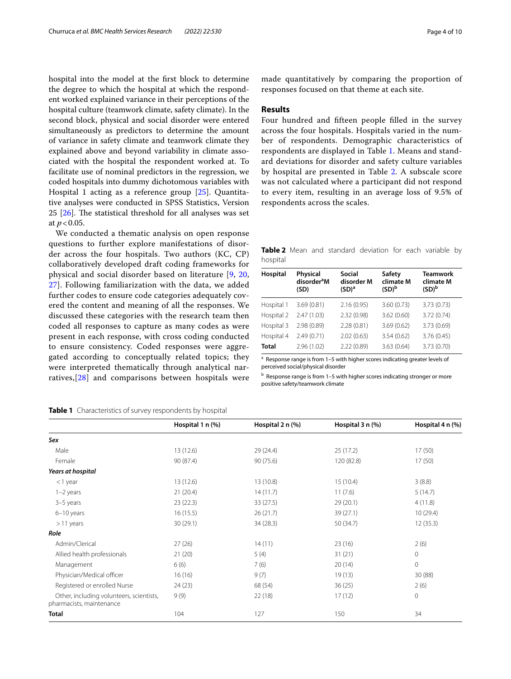hospital into the model at the frst block to determine the degree to which the hospital at which the respondent worked explained variance in their perceptions of the hospital culture (teamwork climate, safety climate). In the second block, physical and social disorder were entered simultaneously as predictors to determine the amount of variance in safety climate and teamwork climate they explained above and beyond variability in climate associated with the hospital the respondent worked at. To facilitate use of nominal predictors in the regression, we coded hospitals into dummy dichotomous variables with Hospital 1 acting as a reference group [[25](#page-9-14)]. Quantitative analyses were conducted in SPSS Statistics, Version 25  $[26]$ . The statistical threshold for all analyses was set at *p*<0.05.

We conducted a thematic analysis on open response questions to further explore manifestations of disorder across the four hospitals. Two authors (KC, CP) collaboratively developed draft coding frameworks for physical and social disorder based on literature [\[9](#page-8-8), [20](#page-9-9), [27\]](#page-9-16). Following familiarization with the data, we added further codes to ensure code categories adequately covered the content and meaning of all the responses. We discussed these categories with the research team then coded all responses to capture as many codes as were present in each response, with cross coding conducted to ensure consistency. Coded responses were aggregated according to conceptually related topics; they were interpreted thematically through analytical narratives,[\[28\]](#page-9-17) and comparisons between hospitals were

## <span id="page-3-0"></span>**Table 1** Characteristics of survey respondents by hospital

made quantitatively by comparing the proportion of responses focused on that theme at each site.

#### **Results**

Four hundred and ffteen people flled in the survey across the four hospitals. Hospitals varied in the number of respondents. Demographic characteristics of respondents are displayed in Table [1](#page-3-0). Means and standard deviations for disorder and safety culture variables by hospital are presented in Table [2.](#page-3-1) A subscale score was not calculated where a participant did not respond to every item, resulting in an average loss of 9.5% of respondents across the scales.

<span id="page-3-1"></span>**Table 2** Mean and standard deviation for each variable by hospital

| Hospital   | Physical<br>disorder <sup>a</sup> M<br>(SD) | Social<br>disorder M<br>(SD) <sup>a</sup> | Safety<br>climate M<br>(SD) <sup>b</sup> | <b>Teamwork</b><br>climate M<br>(SD) <sup>b</sup> |
|------------|---------------------------------------------|-------------------------------------------|------------------------------------------|---------------------------------------------------|
| Hospital 1 | 3.69(0.81)                                  | 2.16(0.95)                                | 3.60(0.73)                               | 3.73(0.73)                                        |
| Hospital 2 | 2.47(1.03)                                  | 2.32(0.98)                                | 3.62(0.60)                               | 3.72(0.74)                                        |
| Hospital 3 | 2.98 (0.89)                                 | 2.28(0.81)                                | 3.69(0.62)                               | 3.73 (0.69)                                       |
| Hospital 4 | 2.49(0.71)                                  | 2.02(0.63)                                | 3.54(0.62)                               | 3.76(0.45)                                        |
| Total      | 2.96(1.02)                                  | 2.22(0.89)                                | 3.63(0.64)                               | 3.73 (0.70)                                       |

a Response range is from 1-5 with higher scores indicating greater levels of perceived social/physical disorder

b Response range is from 1-5 with higher scores indicating stronger or more positive safety/teamwork climate

|                                                                      | Hospital 1 n (%) | Hospital 2 n (%) | Hospital 3 n (%) | Hospital 4 n (%) |
|----------------------------------------------------------------------|------------------|------------------|------------------|------------------|
| Sex                                                                  |                  |                  |                  |                  |
| Male                                                                 | 13(12.6)         | 29(24.4)         | 25 (17.2)        | 17(50)           |
| Female                                                               | 90 (87.4)        | 90(75.6)         | 120 (82.8)       | 17(50)           |
| Years at hospital                                                    |                  |                  |                  |                  |
| $<$ 1 year                                                           | 13(12.6)         | 13 (10.8)        | 15(10.4)         | 3(8.8)           |
| $1-2$ years                                                          | 21(20.4)         | 14(11.7)         | 11(7.6)          | 5(14.7)          |
| 3-5 years                                                            | 23(22.3)         | 33(27.5)         | 29(20.1)         | 4(11.8)          |
| 6-10 years                                                           | 16(15.5)         | 26(21.7)         | 39 (27.1)        | 10(29.4)         |
| $>11$ years                                                          | 30(29.1)         | 34 (28.3)        | 50 (34.7)        | 12(35.3)         |
| Role                                                                 |                  |                  |                  |                  |
| Admin/Clerical                                                       | 27(26)           | 14(11)           | 23(16)           | 2(6)             |
| Allied health professionals                                          | 21(20)           | 5(4)             | 31(21)           | $\mathbf 0$      |
| Management                                                           | 6(6)             | 7(6)             | 20(14)           | $\overline{0}$   |
| Physician/Medical officer                                            | 16(16)           | 9(7)             | 19(13)           | 30(88)           |
| Registered or enrolled Nurse                                         | 24(23)           | 68 (54)          | 36(25)           | 2(6)             |
| Other, including volunteers, scientists,<br>pharmacists, maintenance | 9(9)             | 22(18)           | 17(12)           | 0                |
| <b>Total</b>                                                         | 104              | 127              | 150              | 34               |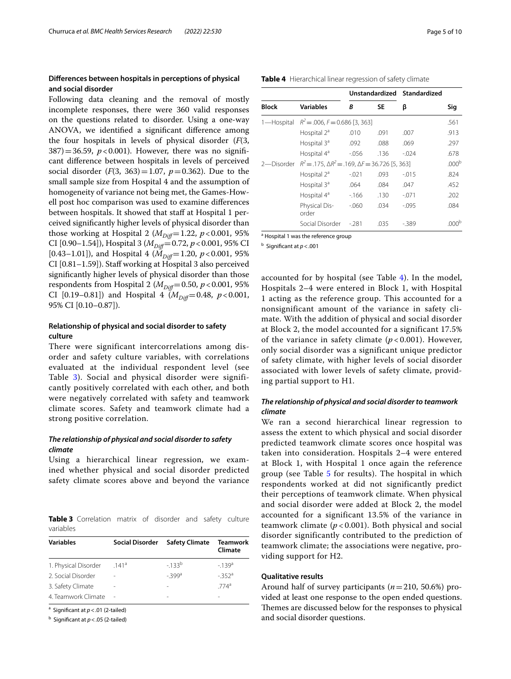# **Diferences between hospitals in perceptions of physical and social disorder**

Following data cleaning and the removal of mostly incomplete responses, there were 360 valid responses on the questions related to disorder. Using a one-way ANOVA, we identifed a signifcant diference among the four hospitals in levels of physical disorder (*F*(3,  $387$ )=36.59, *p*<0.001). However, there was no significant diference between hospitals in levels of perceived social disorder  $(F(3, 363)=1.07, p=0.362)$ . Due to the small sample size from Hospital 4 and the assumption of homogeneity of variance not being met, the Games-Howell post hoc comparison was used to examine diferences between hospitals. It showed that staff at Hospital 1 perceived signifcantly higher levels of physical disorder than those working at Hospital 2 ( $M_{Diff}$ =1.22,  $p$  < 0.001, 95% CI [0.90–1.54]), Hospital 3 ( $M_{Diff}$ =0.72, *p* < 0.001, 95% CI [0.43–1.01]), and Hospital 4 ( $M_{Diff}$ =1.20,  $p$  < 0.001, 95% CI [0.81–1.59]). Staf working at Hospital 3 also perceived signifcantly higher levels of physical disorder than those respondents from Hospital 2 ( $M_{Diff}=0.50$ ,  $p < 0.001$ , 95% CI [0.19–0.81]) and Hospital 4 ( $M_{Diff}$ =0.48,  $p$  < 0.001, 95% CI [0.10–0.87]).

# **Relationship of physical and social disorder to safety culture**

There were significant intercorrelations among disorder and safety culture variables, with correlations evaluated at the individual respondent level (see Table [3](#page-4-0)). Social and physical disorder were significantly positively correlated with each other, and both were negatively correlated with safety and teamwork climate scores. Safety and teamwork climate had a strong positive correlation.

# *The relationship of physical and social disorder to safety climate*

Using a hierarchical linear regression, we examined whether physical and social disorder predicted safety climate scores above and beyond the variance

<span id="page-4-0"></span>**Table 3** Correlation matrix of disorder and safety culture variables

| <b>Variables</b>     | <b>Social Disorder</b> | <b>Safety Climate</b> | <b>Teamwork</b><br>Climate |
|----------------------|------------------------|-----------------------|----------------------------|
| 1. Physical Disorder | .141a                  | $-133^{b}$            | $-139a$                    |
| 2. Social Disorder   |                        | $-399a$               | $-352$ <sup>a</sup>        |
| 3. Safety Climate    |                        | -                     | $774^{\circ}$              |
| 4. Teamwork Climate  |                        | -                     |                            |

<sup>a</sup> Significant at  $p < .01$  (2-tailed)

b Signifcant at *p*<.05 (2-tailed)

<span id="page-4-1"></span>

| Table 4 Hierarchical linear regression of safety climate |  |
|----------------------------------------------------------|--|
|----------------------------------------------------------|--|

|            |                                                                     |                |      | Unstandardized Standardized |                   |  |
|------------|---------------------------------------------------------------------|----------------|------|-----------------------------|-------------------|--|
| Block      | Variables                                                           | <b>SE</b><br>R |      | β                           | Sig               |  |
| 1-Hospital | $R^2 = 0.006$ , $F = 0.686$ [3, 363]                                |                |      |                             | .561              |  |
|            | Hospital $2^a$                                                      | .010           | .091 | .007                        | .913              |  |
|            | Hospital 3 <sup>ª</sup>                                             | .092           | .088 | .069                        | .297              |  |
|            | Hospital 4 <sup>a</sup>                                             | $-0.056$       | .136 | $-0.024$                    | .678              |  |
| 2-Disorder | $R^2 = 0.175$ , $\Delta R^2 = 0.169$ , $\Delta F = 36.726$ [5, 363] |                |      |                             | .000 <sup>b</sup> |  |
|            | Hospital 2 <sup>a</sup>                                             | $-.021$        | .093 | $-015$                      | .824              |  |
|            | Hospital 3 <sup>a</sup>                                             | .064           | .084 | .047                        | .452              |  |
|            | Hospital 4 <sup>ª</sup>                                             | $-166$         | .130 | $-0.071$                    | .202              |  |
|            | Physical Dis-<br>order                                              | $-060$         | .034 | $-0.095$                    | .084              |  |
|            | Social Disorder                                                     | $-281$         | .035 | -.389                       |                   |  |

<sup>a</sup> Hospital 1 was the reference group

b Signifcant at *p*<.001

accounted for by hospital (see Table [4\)](#page-4-1). In the model, Hospitals 2–4 were entered in Block 1, with Hospital 1 acting as the reference group. This accounted for a nonsignificant amount of the variance in safety climate. With the addition of physical and social disorder at Block 2, the model accounted for a significant 17.5% of the variance in safety climate  $(p < 0.001)$ . However, only social disorder was a significant unique predictor of safety climate, with higher levels of social disorder associated with lower levels of safety climate, providing partial support to H1.

# *The relationship of physical and social disorder to teamwork climate*

We ran a second hierarchical linear regression to assess the extent to which physical and social disorder predicted teamwork climate scores once hospital was taken into consideration. Hospitals 2–4 were entered at Block 1, with Hospital 1 once again the reference group (see Table [5](#page-5-0) for results). The hospital in which respondents worked at did not significantly predict their perceptions of teamwork climate. When physical and social disorder were added at Block 2, the model accounted for a significant 13.5% of the variance in teamwork climate (*p* < 0.001). Both physical and social disorder significantly contributed to the prediction of teamwork climate; the associations were negative, providing support for H2.

### **Qualitative results**

Around half of survey participants (*n*=210, 50.6%) provided at least one response to the open ended questions. Themes are discussed below for the responses to physical and social disorder questions.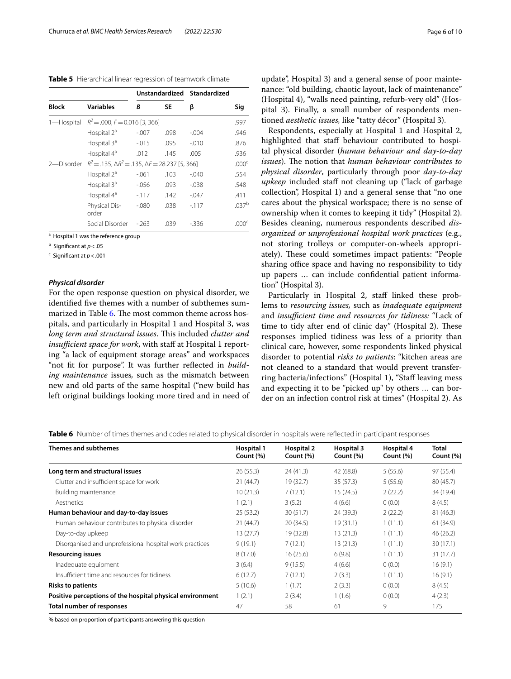<span id="page-5-0"></span>**Table 5** Hierarchical linear regression of teamwork climate

|                                                                                 |                                   |          |      | Unstandardized Standardized |                   |
|---------------------------------------------------------------------------------|-----------------------------------|----------|------|-----------------------------|-------------------|
| <b>Block</b>                                                                    | <b>Variables</b>                  | R        | SE   | β                           | Sig               |
| 1-Hospital                                                                      | $R^2 = 0.000, F = 0.016$ [3, 366] |          |      |                             | .997              |
|                                                                                 | Hospital $2^a$                    | $-.007$  | .098 | $-.004$                     | .946              |
|                                                                                 | Hospital 3 <sup>ª</sup>           | $-0.015$ | .095 | $-.010$                     | .876              |
|                                                                                 | Hospital 4 <sup>ª</sup>           | .012     | .145 | .005                        | .936              |
| $R^2 = .135$ , $\Delta R^2 = .135$ , $\Delta F = 28.237$ [5, 366]<br>2-Disorder |                                   |          |      |                             | .000 <sup>c</sup> |
|                                                                                 | Hospital $2^a$                    | $-.061$  | .103 | $-.040$                     | .554              |
|                                                                                 | Hospital 3 <sup>ª</sup>           | $-0.056$ | .093 | $-0.38$                     | .548              |
|                                                                                 | Hospital 4 <sup>a</sup>           | $-117$   | .142 | $-.047$                     | .411              |
|                                                                                 | Physical Dis-<br>order            | $-.080$  | .038 | $-117$                      | .037 <sup>b</sup> |
|                                                                                 | Social Disorder                   | $-263$   | .039 | - 336                       | 000 <sup>c</sup>  |

<sup>a</sup> Hospital 1 was the reference group

b Signifcant at *p*<.05

c Signifcant at *p*<.001

### *Physical disorder*

For the open response question on physical disorder, we identifed fve themes with a number of subthemes sum-marized in Table [6](#page-5-1). The most common theme across hospitals, and particularly in Hospital 1 and Hospital 3, was *long term and structural issues*. This included *clutter and insufficient space for work*, with staff at Hospital 1 reporting "a lack of equipment storage areas" and workspaces "not fit for purpose". It was further reflected in *building maintenance* issues*,* such as the mismatch between new and old parts of the same hospital ("new build has left original buildings looking more tired and in need of

update", Hospital 3) and a general sense of poor maintenance: "old building, chaotic layout, lack of maintenance" (Hospital 4), "walls need painting, refurb-very old" (Hospital 3). Finally, a small number of respondents mentioned *aesthetic issues,* like "tatty décor" (Hospital 3).

Respondents, especially at Hospital 1 and Hospital 2, highlighted that staff behaviour contributed to hospital physical disorder (*human behaviour and day-to-day issues*). The notion that *human behaviour contributes to physical disorder*, particularly through poor *day-to-day upkeep* included staff not cleaning up ("lack of garbage collection", Hospital 1) and a general sense that "no one cares about the physical workspace; there is no sense of ownership when it comes to keeping it tidy" (Hospital 2). Besides cleaning, numerous respondents described *disorganized or unprofessional hospital work practices* (e.g., not storing trolleys or computer-on-wheels appropriately). These could sometimes impact patients: "People sharing office space and having no responsibility to tidy up papers … can include confdential patient information" (Hospital 3).

Particularly in Hospital 2, staff linked these problems to *resourcing issues,* such as *inadequate equipment* and *insufficient time and resources for tidiness:* "Lack of time to tidy after end of clinic day" (Hospital 2). These responses implied tidiness was less of a priority than clinical care, however, some respondents linked physical disorder to potential *risks to patients*: "kitchen areas are not cleaned to a standard that would prevent transferring bacteria/infections" (Hospital 1), "Staf leaving mess and expecting it to be "picked up" by others … can border on an infection control risk at times" (Hospital 2). As

<span id="page-5-1"></span>**Table 6** Number of times themes and codes related to physical disorder in hospitals were reflected in participant responses

| <b>Themes and subthemes</b>                               | Hospital 1 | <b>Hospital 2</b> | Hospital 3 | Hospital 4   | <b>Total</b> |
|-----------------------------------------------------------|------------|-------------------|------------|--------------|--------------|
|                                                           | Count (%)  | Count $(\%)$      | Count (%)  | Count $(\%)$ | Count $(\%)$ |
| Long term and structural issues                           | 26(55.3)   | 24(41.3)          | 42 (68.8)  | 5(55.6)      | 97 (55.4)    |
| Clutter and insufficient space for work                   | 21(44.7)   | 19 (32.7)         | 35(57.3)   | 5(55.6)      | 80 (45.7)    |
| Building maintenance                                      | 10(21.3)   | 7(12.1)           | 15(24.5)   | 2(22.2)      | 34 (19.4)    |
| Aesthetics                                                | 1(2.1)     | 3(5.2)            | 4(6.6)     | 0(0.0)       | 8(4.5)       |
| Human behaviour and day-to-day issues                     | 25(53.2)   | 30(51.7)          | 24 (39.3)  | 2(22.2)      | 81 (46.3)    |
| Human behaviour contributes to physical disorder          | 21(44.7)   | 20(34.5)          | 19(31.1)   | 1(11.1)      | 61(34.9)     |
| Day-to-day upkeep                                         | 13 (27.7)  | 19 (32.8)         | 13(21.3)   | 1(11.1)      | 46 (26.2)    |
| Disorganised and unprofessional hospital work practices   | 9(19.1)    | 7(12.1)           | 13(21.3)   | 1(11.1)      | 30(17.1)     |
| <b>Resourcing issues</b>                                  | 8(17.0)    | 16(25.6)          | 6(9.8)     | 1(11.1)      | 31 (17.7)    |
| Inadequate equipment                                      | 3(6.4)     | 9(15.5)           | 4(6.6)     | 0(0.0)       | 16(9.1)      |
| Insufficient time and resources for tidiness              | 6(12.7)    | 7(12.1)           | 2(3.3)     | 1(11.1)      | 16(9.1)      |
| Risks to patients                                         | 5(10.6)    | 1(1.7)            | 2(3.3)     | 0(0.0)       | 8(4.5)       |
| Positive perceptions of the hospital physical environment | 1(2.1)     | 2(3.4)            | 1(1.6)     | 0(0.0)       | 4(2.3)       |
| Total number of responses                                 | 47         | 58                | 61         | 9            | 175          |

% based on proportion of participants answering this question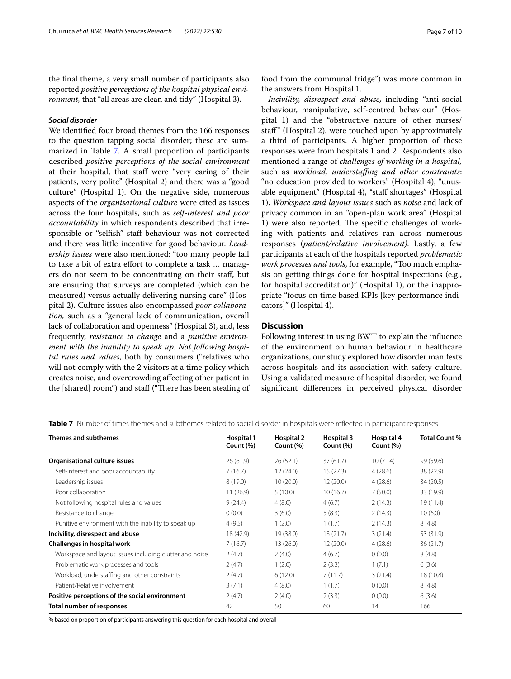the fnal theme, a very small number of participants also reported *positive perceptions of the hospital physical environment,* that "all areas are clean and tidy" (Hospital 3).

# *Social disorder*

We identifed four broad themes from the 166 responses to the question tapping social disorder; these are sum-marized in Table [7](#page-6-0). A small proportion of participants described *positive perceptions of the social environment* at their hospital, that staff were "very caring of their patients, very polite" (Hospital 2) and there was a "good culture" (Hospital 1). On the negative side, numerous aspects of the *organisational culture* were cited as issues across the four hospitals, such as *self-interest and poor accountability* in which respondents described that irresponsible or "selfsh" staf behaviour was not corrected and there was little incentive for good behaviour. *Leadership issues* were also mentioned: "too many people fail to take a bit of extra effort to complete a task ... managers do not seem to be concentrating on their staf, but are ensuring that surveys are completed (which can be measured) versus actually delivering nursing care" (Hospital 2). Culture issues also encompassed *poor collaboration,* such as a "general lack of communication, overall lack of collaboration and openness" (Hospital 3), and, less frequently, *resistance to change* and a *punitive environment with the inability to speak up*. *Not following hospital rules and values*, both by consumers ("relatives who will not comply with the 2 visitors at a time policy which creates noise, and overcrowding afecting other patient in the [shared] room") and staff ("There has been stealing of food from the communal fridge") was more common in the answers from Hospital 1.

*Incivility, disrespect and abuse,* including *"*anti-social behaviour, manipulative, self-centred behaviour" (Hospital 1) and the "obstructive nature of other nurses/ staf" (Hospital 2), were touched upon by approximately a third of participants. A higher proportion of these responses were from hospitals 1 and 2. Respondents also mentioned a range of *challenges of working in a hospital,* such as *workload, understaffing and other constraints*: "no education provided to workers" (Hospital 4), "unusable equipment" (Hospital 4), "staff shortages" (Hospital 1). *Workspace and layout issues* such as *noise* and lack of privacy common in an "open-plan work area" (Hospital 1) were also reported. The specific challenges of working with patients and relatives ran across numerous responses (*patient/relative involvement)*. Lastly, a few participants at each of the hospitals reported *problematic work processes and tools*, for example, "Too much emphasis on getting things done for hospital inspections (e.g., for hospital accreditation)" (Hospital 1), or the inappropriate "focus on time based KPIs [key performance indicators]" (Hospital 4).

## **Discussion**

Following interest in using BWT to explain the infuence of the environment on human behaviour in healthcare organizations, our study explored how disorder manifests across hospitals and its association with safety culture. Using a validated measure of hospital disorder, we found signifcant diferences in perceived physical disorder

<span id="page-6-0"></span>**Table 7** Number of times themes and subthemes related to social disorder in hospitals were reflected in participant responses

| <b>Themes and subthemes</b>                             | Hospital 1<br>Count (%) | <b>Hospital 2</b><br>Count (%) | Hospital 3<br>Count (%) | Hospital 4<br>Count (%) | <b>Total Count %</b> |
|---------------------------------------------------------|-------------------------|--------------------------------|-------------------------|-------------------------|----------------------|
| Organisational culture issues                           | 26(61.9)                | 26(52.1)                       | 37(61.7)                | 10(71.4)                | 99 (59.6)            |
| Self-interest and poor accountability                   | 7(16.7)                 | 12(24.0)                       | 15(27.3)                | 4(28.6)                 | 38 (22.9)            |
| Leadership issues                                       | 8(19.0)                 | 10(20.0)                       | 12(20.0)                | 4(28.6)                 | 34 (20.5)            |
| Poor collaboration                                      | 11(26.9)                | 5(10.0)                        | 10(16.7)                | 7(50.0)                 | 33 (19.9)            |
| Not following hospital rules and values                 | 9(24.4)                 | 4(8.0)                         | 4(6.7)                  | 2(14.3)                 | 19(11.4)             |
| Resistance to change                                    | 0(0.0)                  | 3(6.0)                         | 5(8.3)                  | 2(14.3)                 | 10(6.0)              |
| Punitive environment with the inability to speak up     | 4(9.5)                  | 1(2.0)                         | 1(1.7)                  | 2(14.3)                 | 8(4.8)               |
| Incivility, disrespect and abuse                        | 18 (42.9)               | 19 (38.0)                      | 13(21.7)                | 3(21.4)                 | 53 (31.9)            |
| Challenges in hospital work                             | 7(16.7)                 | 13(26.0)                       | 12(20.0)                | 4(28.6)                 | 36(21.7)             |
| Workspace and layout issues including clutter and noise | 2(4.7)                  | 2(4.0)                         | 4(6.7)                  | 0(0.0)                  | 8(4.8)               |
| Problematic work processes and tools                    | 2(4.7)                  | 1(2.0)                         | 2(3.3)                  | 1(7.1)                  | 6(3.6)               |
| Workload, understaffing and other constraints           | 2(4.7)                  | 6(12.0)                        | 7(11.7)                 | 3(21.4)                 | 18 (10.8)            |
| Patient/Relative involvement                            | 3(7.1)                  | 4(8.0)                         | 1(1.7)                  | 0(0.0)                  | 8(4.8)               |
| Positive perceptions of the social environment          | 2(4.7)                  | 2(4.0)                         | 2(3.3)                  | 0(0.0)                  | 6(3.6)               |
| <b>Total number of responses</b>                        | 42                      | 50                             | 60                      | 14                      | 166                  |

% based on proportion of participants answering this question for each hospital and overall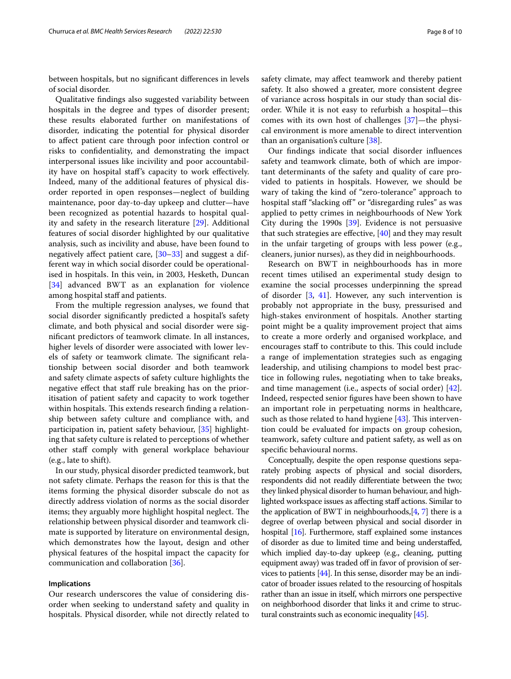between hospitals, but no signifcant diferences in levels of social disorder.

Qualitative fndings also suggested variability between hospitals in the degree and types of disorder present; these results elaborated further on manifestations of disorder, indicating the potential for physical disorder to afect patient care through poor infection control or risks to confdentiality, and demonstrating the impact interpersonal issues like incivility and poor accountability have on hospital staf's capacity to work efectively. Indeed, many of the additional features of physical disorder reported in open responses—neglect of building maintenance, poor day-to-day upkeep and clutter—have been recognized as potential hazards to hospital quality and safety in the research literature [\[29\]](#page-9-18). Additional features of social disorder highlighted by our qualitative analysis, such as incivility and abuse, have been found to negatively afect patient care, [\[30](#page-9-19)[–33](#page-9-20)] and suggest a different way in which social disorder could be operationalised in hospitals. In this vein, in 2003, Hesketh, Duncan [[34\]](#page-9-21) advanced BWT as an explanation for violence among hospital staff and patients.

From the multiple regression analyses, we found that social disorder signifcantly predicted a hospital's safety climate, and both physical and social disorder were signifcant predictors of teamwork climate. In all instances, higher levels of disorder were associated with lower levels of safety or teamwork climate. The significant relationship between social disorder and both teamwork and safety climate aspects of safety culture highlights the negative effect that staff rule breaking has on the prioritisation of patient safety and capacity to work together within hospitals. This extends research finding a relationship between safety culture and compliance with, and participation in, patient safety behaviour, [\[35](#page-9-22)] highlighting that safety culture is related to perceptions of whether other staf comply with general workplace behaviour (e.g., late to shift).

In our study, physical disorder predicted teamwork, but not safety climate. Perhaps the reason for this is that the items forming the physical disorder subscale do not as directly address violation of norms as the social disorder items; they arguably more highlight hospital neglect. The relationship between physical disorder and teamwork climate is supported by literature on environmental design, which demonstrates how the layout, design and other physical features of the hospital impact the capacity for communication and collaboration [[36\]](#page-9-23).

## **Implications**

Our research underscores the value of considering disorder when seeking to understand safety and quality in hospitals. Physical disorder, while not directly related to safety climate, may afect teamwork and thereby patient safety. It also showed a greater, more consistent degree of variance across hospitals in our study than social disorder. While it is not easy to refurbish a hospital—this comes with its own host of challenges [\[37](#page-9-24)]—the physical environment is more amenable to direct intervention than an organisation's culture [\[38](#page-9-25)].

Our fndings indicate that social disorder infuences safety and teamwork climate, both of which are important determinants of the safety and quality of care provided to patients in hospitals. However, we should be wary of taking the kind of "zero-tolerance" approach to hospital staff "slacking off" or "disregarding rules" as was applied to petty crimes in neighbourhoods of New York City during the 1990s [\[39](#page-9-26)]. Evidence is not persuasive that such strategies are effective,  $[40]$  $[40]$  and they may result in the unfair targeting of groups with less power (e.g., cleaners, junior nurses), as they did in neighbourhoods.

Research on BWT in neighbourhoods has in more recent times utilised an experimental study design to examine the social processes underpinning the spread of disorder  $[3, 41]$  $[3, 41]$  $[3, 41]$  $[3, 41]$ . However, any such intervention is probably not appropriate in the busy, pressurised and high-stakes environment of hospitals. Another starting point might be a quality improvement project that aims to create a more orderly and organised workplace, and encourages staff to contribute to this. This could include a range of implementation strategies such as engaging leadership, and utilising champions to model best practice in following rules, negotiating when to take breaks, and time management (i.e., aspects of social order) [\[42](#page-9-29)]. Indeed, respected senior fgures have been shown to have an important role in perpetuating norms in healthcare, such as those related to hand hygiene  $[43]$  $[43]$ . This intervention could be evaluated for impacts on group cohesion, teamwork, safety culture and patient safety, as well as on specifc behavioural norms.

Conceptually, despite the open response questions separately probing aspects of physical and social disorders, respondents did not readily diferentiate between the two; they linked physical disorder to human behaviour, and highlighted workspace issues as affecting staff actions. Similar to the application of BWT in neighbourhoods,[\[4,](#page-8-3) [7](#page-8-6)] there is a degree of overlap between physical and social disorder in hospital [\[16\]](#page-9-5). Furthermore, staff explained some instances of disorder as due to limited time and being understafed, which implied day-to-day upkeep (e.g., cleaning, putting equipment away) was traded off in favor of provision of services to patients [[44](#page-9-31)]. In this sense, disorder may be an indicator of broader issues related to the resourcing of hospitals rather than an issue in itself, which mirrors one perspective on neighborhood disorder that links it and crime to structural constraints such as economic inequality [\[45\]](#page-9-32).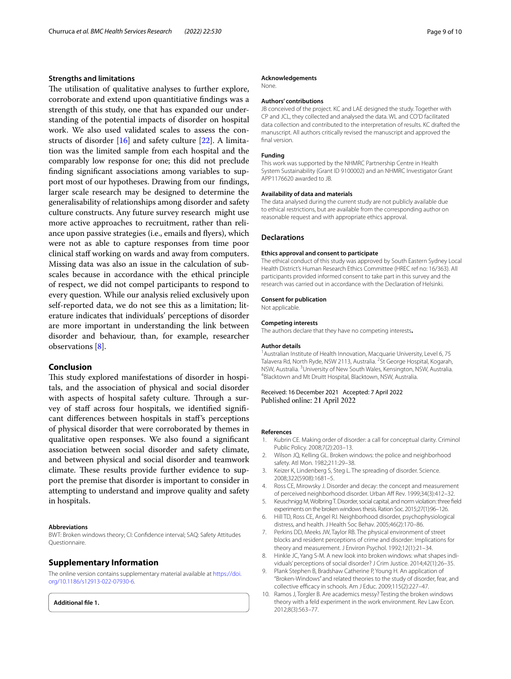# **Strengths and limitations**

The utilisation of qualitative analyses to further explore, corroborate and extend upon quantitiative fndings was a strength of this study, one that has expanded our understanding of the potential impacts of disorder on hospital work. We also used validated scales to assess the constructs of disorder [\[16\]](#page-9-5) and safety culture [[22\]](#page-9-11). A limitation was the limited sample from each hospital and the comparably low response for one; this did not preclude fnding signifcant associations among variables to support most of our hypotheses. Drawing from our fndings, larger scale research may be designed to determine the generalisability of relationships among disorder and safety culture constructs. Any future survey research might use more active approaches to recruitment, rather than reliance upon passive strategies (i.e., emails and fyers), which were not as able to capture responses from time poor clinical staf working on wards and away from computers. Missing data was also an issue in the calculation of subscales because in accordance with the ethical principle of respect, we did not compel participants to respond to every question. While our analysis relied exclusively upon self-reported data, we do not see this as a limitation; literature indicates that individuals' perceptions of disorder are more important in understanding the link between disorder and behaviour, than, for example, researcher observations [[8](#page-8-7)].

# **Conclusion**

This study explored manifestations of disorder in hospitals, and the association of physical and social disorder with aspects of hospital safety culture. Through a survey of staff across four hospitals, we identified significant diferences between hospitals in staf's perceptions of physical disorder that were corroborated by themes in qualitative open responses. We also found a signifcant association between social disorder and safety climate, and between physical and social disorder and teamwork climate. These results provide further evidence to support the premise that disorder is important to consider in attempting to understand and improve quality and safety in hospitals.

#### **Abbreviations**

BWT: Broken windows theory; CI: Confdence interval; SAQ: Safety Attitudes Questionnaire.

#### **Supplementary Information**

The online version contains supplementary material available at [https://doi.](https://doi.org/10.1186/s12913-022-07930-6) [org/10.1186/s12913-022-07930-6](https://doi.org/10.1186/s12913-022-07930-6).

<span id="page-8-10"></span>**Additional fle 1.**

#### **Acknowledgements**

None.

#### **Authors' contributions**

JB conceived of the project. KC and LAE designed the study. Together with CP and JCL, they collected and analysed the data. WL and CO'D facilitated data collection and contributed to the interpretation of results. KC drafted the manuscript. All authors critically revised the manuscript and approved the final version.

#### **Funding**

This work was supported by the NHMRC Partnership Centre in Health System Sustainability (Grant ID 9100002) and an NHMRC Investigator Grant APP1176620 awarded to JB.

#### **Availability of data and materials**

The data analysed during the current study are not publicly available due to ethical restrictions, but are available from the corresponding author on reasonable request and with appropriate ethics approval.

#### **Declarations**

#### **Ethics approval and consent to participate**

The ethical conduct of this study was approved by South Eastern Sydney Local Health District's Human Research Ethics Committee (HREC ref no: 16/363). All participants provided informed consent to take part in this survey and the research was carried out in accordance with the Declaration of Helsinki.

#### **Consent for publication**

Not applicable.

#### **Competing interests**

The authors declare that they have no competing interests**.**

#### **Author details**

<sup>1</sup> Australian Institute of Health Innovation, Macquarie University, Level 6, 75 Talavera Rd, North Ryde, NSW 2113, Australia. <sup>2</sup>St George Hospital, Kogarah, NSW, Australia. <sup>3</sup>University of New South Wales, Kensington, NSW, Australia.<br><sup>4</sup>Blacktown and Mt Druitt Hospital Blacktown, NSW, Australia. <sup>4</sup>Blacktown and Mt Druitt Hospital, Blacktown, NSW, Australia.

Received: 16 December 2021 Accepted: 7 April 2022 Published online: 21 April 2022

#### **References**

- <span id="page-8-0"></span>1. Kubrin CE. Making order of disorder: a call for conceptual clarity. Criminol Public Policy. 2008;7(2):203–13.
- <span id="page-8-1"></span>2. Wilson JQ, Kelling GL. Broken windows: the police and neighborhood safety. Atl Mon. 1982;211:29–38.
- <span id="page-8-2"></span>3. Keizer K, Lindenberg S, Steg L. The spreading of disorder. Science. 2008;322(5908):1681–5.
- <span id="page-8-3"></span>Ross CE, Mirowsky J. Disorder and decay: the concept and measurement of perceived neighborhood disorder. Urban Af Rev. 1999;34(3):412–32.
- <span id="page-8-4"></span>5. Keuschnigg M, Wolbring T. Disorder, social capital, and norm violation: three feld experiments on the broken windows thesis. Ration Soc. 2015;27(1):96–126.
- <span id="page-8-5"></span>6. Hill TD, Ross CE, Angel RJ. Neighborhood disorder, psychophysiological distress, and health. J Health Soc Behav. 2005;46(2):170–86.
- <span id="page-8-6"></span>7. Perkins DD, Meeks JW, Taylor RB. The physical environment of street blocks and resident perceptions of crime and disorder: Implications for theory and measurement. J Environ Psychol. 1992;12(1):21–34.
- <span id="page-8-7"></span>8. Hinkle JC, Yang S-M. A new look into broken windows: what shapes individuals' perceptions of social disorder? J Crim Justice. 2014;42(1):26–35.
- <span id="page-8-8"></span>9. Plank Stephen B, Bradshaw Catherine P, Young H. An application of "Broken-Windows" and related theories to the study of disorder, fear, and collective efficacy in schools. Am J Educ. 2009;115(2):227-47.
- <span id="page-8-9"></span>10. Ramos J, Torgler B. Are academics messy? Testing the broken windows theory with a feld experiment in the work environment. Rev Law Econ. 2012;8(3):563–77.